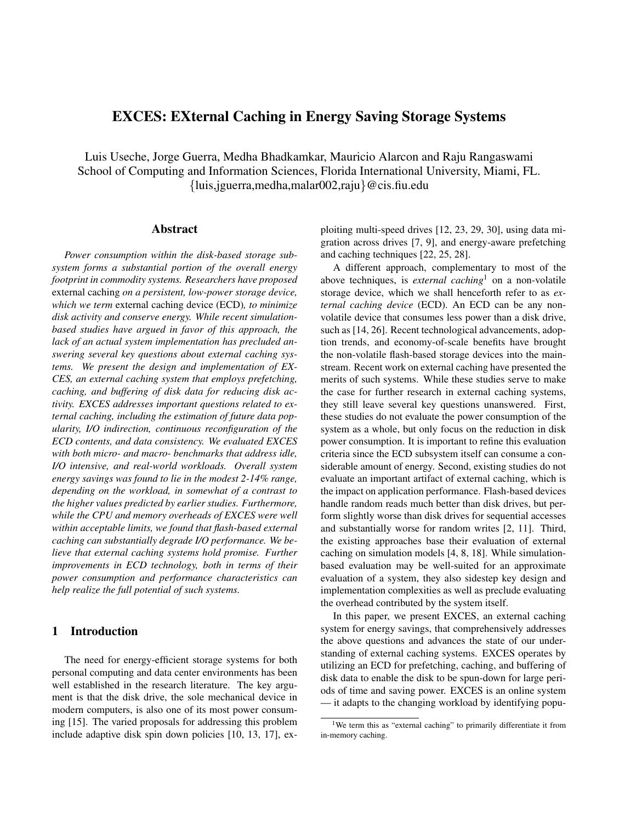# **EXCES: EXternal Caching in Energy Saving Storage Systems**

Luis Useche, Jorge Guerra, Medha Bhadkamkar, Mauricio Alarcon and Raju Rangaswami School of Computing and Information Sciences, Florida International University, Miami, FL. {luis,jguerra,medha,malar002,raju}@cis.fiu.edu

## **Abstract**

*Power consumption within the disk-based storage subsystem forms a substantial portion of the overall energy footprint in commodity systems. Researchers have proposed* external caching *on a persistent, low-power storage device, which we term* external caching device (ECD)*, to minimize disk activity and conserve energy. While recent simulationbased studies have argued in favor of this approach, the lack of an actual system implementation has precluded answering several key questions about external caching systems. We present the design and implementation of EX-CES, an external caching system that employs prefetching, caching, and buffering of disk data for reducing disk activity. EXCES addresses important questions related to external caching, including the estimation of future data popularity, I/O indirection, continuous reconfiguration of the ECD contents, and data consistency. We evaluated EXCES with both micro- and macro- benchmarks that address idle, I/O intensive, and real-world workloads. Overall system energy savings was found to lie in the modest 2-14% range, depending on the workload, in somewhat of a contrast to the higher values predicted by earlier studies. Furthermore, while the CPU and memory overheads of EXCES were well within acceptable limits, we found that flash-based external caching can substantially degrade I/O performance. We believe that external caching systems hold promise. Further improvements in ECD technology, both in terms of their power consumption and performance characteristics can help realize the full potential of such systems.*

# **1 Introduction**

The need for energy-efficient storage systems for both personal computing and data center environments has been well established in the research literature. The key argument is that the disk drive, the sole mechanical device in modern computers, is also one of its most power consuming [15]. The varied proposals for addressing this problem include adaptive disk spin down policies [10, 13, 17], exploiting multi-speed drives [12, 23, 29, 30], using data migration across drives [7, 9], and energy-aware prefetching and caching techniques [22, 25, 28].

A different approach, complementary to most of the above techniques, is *external caching*<sup>1</sup> on a non-volatile storage device, which we shall henceforth refer to as *external caching device* (ECD). An ECD can be any nonvolatile device that consumes less power than a disk drive, such as [14, 26]. Recent technological advancements, adoption trends, and economy-of-scale benefits have brought the non-volatile flash-based storage devices into the mainstream. Recent work on external caching have presented the merits of such systems. While these studies serve to make the case for further research in external caching systems, they still leave several key questions unanswered. First, these studies do not evaluate the power consumption of the system as a whole, but only focus on the reduction in disk power consumption. It is important to refine this evaluation criteria since the ECD subsystem itself can consume a considerable amount of energy. Second, existing studies do not evaluate an important artifact of external caching, which is the impact on application performance. Flash-based devices handle random reads much better than disk drives, but perform slightly worse than disk drives for sequential accesses and substantially worse for random writes [2, 11]. Third, the existing approaches base their evaluation of external caching on simulation models [4, 8, 18]. While simulationbased evaluation may be well-suited for an approximate evaluation of a system, they also sidestep key design and implementation complexities as well as preclude evaluating the overhead contributed by the system itself.

In this paper, we present EXCES, an external caching system for energy savings, that comprehensively addresses the above questions and advances the state of our understanding of external caching systems. EXCES operates by utilizing an ECD for prefetching, caching, and buffering of disk data to enable the disk to be spun-down for large periods of time and saving power. EXCES is an online system — it adapts to the changing workload by identifying popu-

<sup>&</sup>lt;sup>1</sup>We term this as "external caching" to primarily differentiate it from in-memory caching.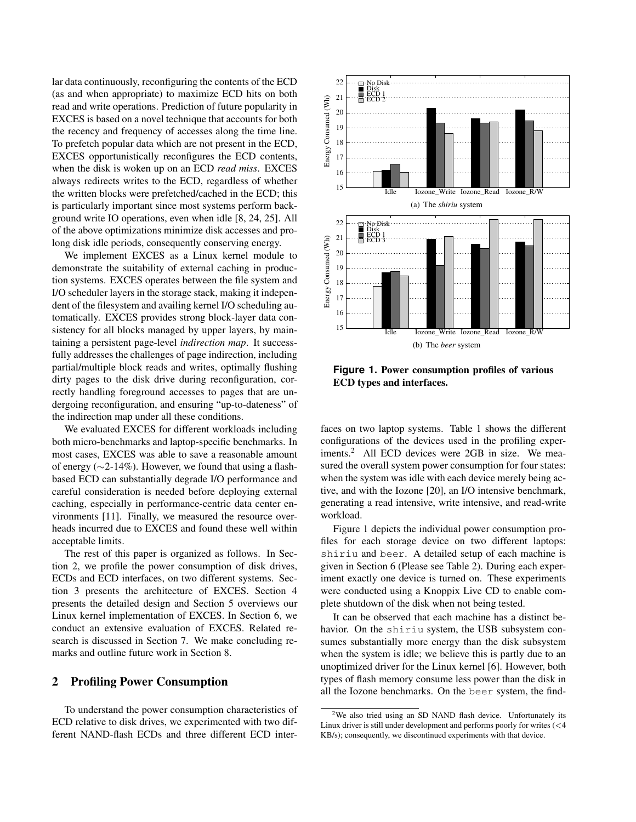lar data continuously, reconfiguring the contents of the ECD (as and when appropriate) to maximize ECD hits on both read and write operations. Prediction of future popularity in EXCES is based on a novel technique that accounts for both the recency and frequency of accesses along the time line. To prefetch popular data which are not present in the ECD, EXCES opportunistically reconfigures the ECD contents, when the disk is woken up on an ECD *read miss*. EXCES always redirects writes to the ECD, regardless of whether the written blocks were prefetched/cached in the ECD; this is particularly important since most systems perform background write IO operations, even when idle [8, 24, 25]. All of the above optimizations minimize disk accesses and prolong disk idle periods, consequently conserving energy.

We implement EXCES as a Linux kernel module to demonstrate the suitability of external caching in production systems. EXCES operates between the file system and I/O scheduler layers in the storage stack, making it independent of the filesystem and availing kernel I/O scheduling automatically. EXCES provides strong block-layer data consistency for all blocks managed by upper layers, by maintaining a persistent page-level *indirection map*. It successfully addresses the challenges of page indirection, including partial/multiple block reads and writes, optimally flushing dirty pages to the disk drive during reconfiguration, correctly handling foreground accesses to pages that are undergoing reconfiguration, and ensuring "up-to-dateness" of the indirection map under all these conditions.

We evaluated EXCES for different workloads including both micro-benchmarks and laptop-specific benchmarks. In most cases, EXCES was able to save a reasonable amount of energy (∼2-14%). However, we found that using a flashbased ECD can substantially degrade I/O performance and careful consideration is needed before deploying external caching, especially in performance-centric data center environments [11]. Finally, we measured the resource overheads incurred due to EXCES and found these well within acceptable limits.

The rest of this paper is organized as follows. In Section 2, we profile the power consumption of disk drives, ECDs and ECD interfaces, on two different systems. Section 3 presents the architecture of EXCES. Section 4 presents the detailed design and Section 5 overviews our Linux kernel implementation of EXCES. In Section 6, we conduct an extensive evaluation of EXCES. Related research is discussed in Section 7. We make concluding remarks and outline future work in Section 8.

# **2 Profiling Power Consumption**

To understand the power consumption characteristics of ECD relative to disk drives, we experimented with two different NAND-flash ECDs and three different ECD inter-



**Figure 1. Power consumption profiles of various ECD types and interfaces.**

faces on two laptop systems. Table 1 shows the different configurations of the devices used in the profiling experiments.<sup>2</sup> All ECD devices were 2GB in size. We measured the overall system power consumption for four states: when the system was idle with each device merely being active, and with the Iozone [20], an I/O intensive benchmark, generating a read intensive, write intensive, and read-write workload.

Figure 1 depicts the individual power consumption profiles for each storage device on two different laptops: shiriu and beer. A detailed setup of each machine is given in Section 6 (Please see Table 2). During each experiment exactly one device is turned on. These experiments were conducted using a Knoppix Live CD to enable complete shutdown of the disk when not being tested.

It can be observed that each machine has a distinct behavior. On the shiriu system, the USB subsystem consumes substantially more energy than the disk subsystem when the system is idle; we believe this is partly due to an unoptimized driver for the Linux kernel [6]. However, both types of flash memory consume less power than the disk in all the Iozone benchmarks. On the beer system, the find-

 $2$ We also tried using an SD NAND flash device. Unfortunately its Linux driver is still under development and performs poorly for writes (<4 KB/s); consequently, we discontinued experiments with that device.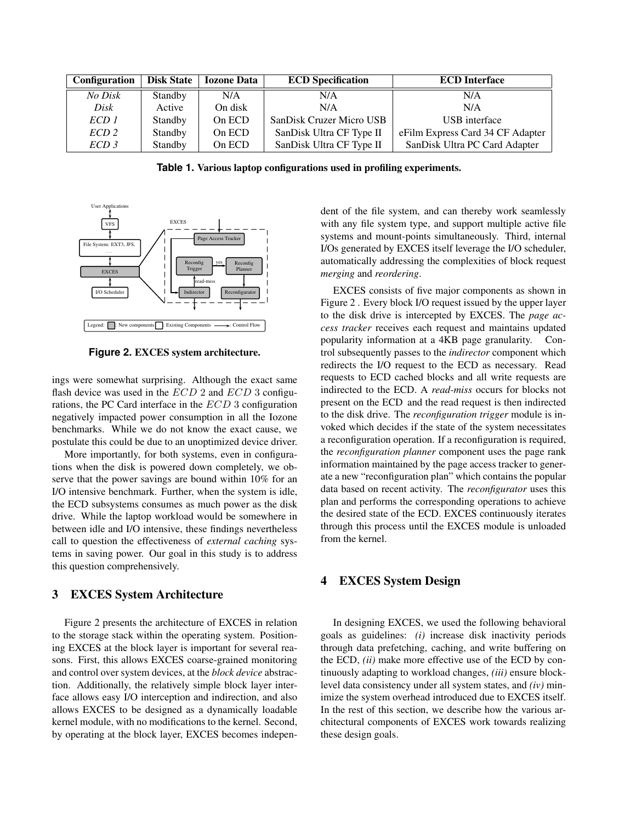| <b>Configuration</b> | <b>Disk State</b> | <b>Iozone Data</b> | <b>ECD</b> Specification | <b>ECD</b> Interface             |  |
|----------------------|-------------------|--------------------|--------------------------|----------------------------------|--|
| No Disk              | Standby           | N/A                | N/A                      | N/A                              |  |
| Disk                 | Active            | On disk            | N/A                      | N/A                              |  |
| ECD 1                | Standby           | On ECD             | SanDisk Cruzer Micro USB | <b>USB</b> interface             |  |
| ECD <sub>2</sub>     | Standby           | On ECD             | SanDisk Ultra CF Type II | eFilm Express Card 34 CF Adapter |  |
| ECD <sub>3</sub>     | Standby           | On ECD             | SanDisk Ultra CF Type II | SanDisk Ultra PC Card Adapter    |  |

**Table 1. Various laptop configurations used in profiling experiments.**



**Figure 2. EXCES system architecture.**

ings were somewhat surprising. Although the exact same flash device was used in the  $ECD$  2 and  $ECD$  3 configurations, the PC Card interface in the ECD 3 configuration negatively impacted power consumption in all the Iozone benchmarks. While we do not know the exact cause, we postulate this could be due to an unoptimized device driver.

More importantly, for both systems, even in configurations when the disk is powered down completely, we observe that the power savings are bound within 10% for an I/O intensive benchmark. Further, when the system is idle, the ECD subsystems consumes as much power as the disk drive. While the laptop workload would be somewhere in between idle and I/O intensive, these findings nevertheless call to question the effectiveness of *external caching* systems in saving power. Our goal in this study is to address this question comprehensively.

# **3 EXCES System Architecture**

Figure 2 presents the architecture of EXCES in relation to the storage stack within the operating system. Positioning EXCES at the block layer is important for several reasons. First, this allows EXCES coarse-grained monitoring and control over system devices, at the *block device* abstraction. Additionally, the relatively simple block layer interface allows easy I/O interception and indirection, and also allows EXCES to be designed as a dynamically loadable kernel module, with no modifications to the kernel. Second, by operating at the block layer, EXCES becomes independent of the file system, and can thereby work seamlessly with any file system type, and support multiple active file systems and mount-points simultaneously. Third, internal I/Os generated by EXCES itself leverage the I/O scheduler, automatically addressing the complexities of block request *merging* and *reordering*.

EXCES consists of five major components as shown in Figure 2 . Every block I/O request issued by the upper layer to the disk drive is intercepted by EXCES. The *page access tracker* receives each request and maintains updated popularity information at a 4KB page granularity. Control subsequently passes to the *indirector* component which redirects the I/O request to the ECD as necessary. Read requests to ECD cached blocks and all write requests are indirected to the ECD. A *read-miss* occurs for blocks not present on the ECD and the read request is then indirected to the disk drive. The *reconfiguration trigger* module is invoked which decides if the state of the system necessitates a reconfiguration operation. If a reconfiguration is required, the *reconfiguration planner* component uses the page rank information maintained by the page access tracker to generate a new "reconfiguration plan" which contains the popular data based on recent activity. The *reconfigurator* uses this plan and performs the corresponding operations to achieve the desired state of the ECD. EXCES continuously iterates through this process until the EXCES module is unloaded from the kernel.

# **4 EXCES System Design**

In designing EXCES, we used the following behavioral goals as guidelines: *(i)* increase disk inactivity periods through data prefetching, caching, and write buffering on the ECD, *(ii)* make more effective use of the ECD by continuously adapting to workload changes, *(iii)* ensure blocklevel data consistency under all system states, and *(iv)* minimize the system overhead introduced due to EXCES itself. In the rest of this section, we describe how the various architectural components of EXCES work towards realizing these design goals.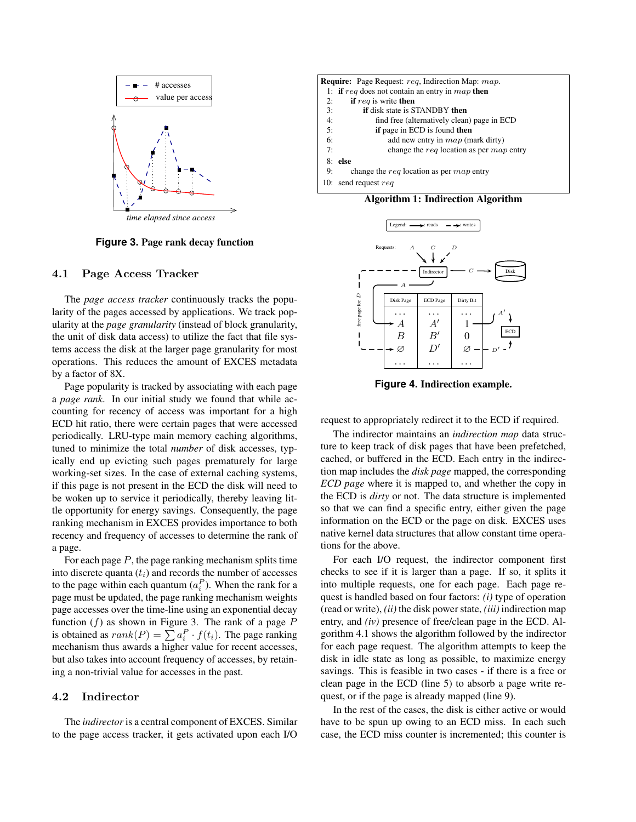

**Figure 3. Page rank decay function**

### 4.1 Page Access Tracker

The *page access tracker* continuously tracks the popularity of the pages accessed by applications. We track popularity at the *page granularity* (instead of block granularity, the unit of disk data access) to utilize the fact that file systems access the disk at the larger page granularity for most operations. This reduces the amount of EXCES metadata by a factor of 8X.

Page popularity is tracked by associating with each page a *page rank*. In our initial study we found that while accounting for recency of access was important for a high ECD hit ratio, there were certain pages that were accessed periodically. LRU-type main memory caching algorithms, tuned to minimize the total *number* of disk accesses, typically end up evicting such pages prematurely for large working-set sizes. In the case of external caching systems, if this page is not present in the ECD the disk will need to be woken up to service it periodically, thereby leaving little opportunity for energy savings. Consequently, the page ranking mechanism in EXCES provides importance to both recency and frequency of accesses to determine the rank of a page.

For each page  $P$ , the page ranking mechanism splits time into discrete quanta  $(t<sub>i</sub>)$  and records the number of accesses to the page within each quantum  $(a_i^P)$ . When the rank for a page must be updated, the page ranking mechanism weights page accesses over the time-line using an exponential decay function  $(f)$  as shown in Figure 3. The rank of a page P is obtained as  $rank(P) = \sum a_i^P \cdot f(t_i)$ . The page ranking mechanism thus awards a higher value for recent accesses, but also takes into account frequency of accesses, by retaining a non-trivial value for accesses in the past.

# 4.2 Indirector

The *indirector*is a central component of EXCES. Similar to the page access tracker, it gets activated upon each I/O

|    | <b>Require:</b> Page Request: req. Indirection Map: map. |  |  |  |  |  |  |
|----|----------------------------------------------------------|--|--|--|--|--|--|
|    | 1: if req does not contain an entry in map then          |  |  |  |  |  |  |
| 2: | <b>if</b> req is write then                              |  |  |  |  |  |  |
| 3: | <b>if</b> disk state is STANDBY then                     |  |  |  |  |  |  |
| 4: | find free (alternatively clean) page in ECD              |  |  |  |  |  |  |
| 5: | <b>if</b> page in ECD is found <b>then</b>               |  |  |  |  |  |  |
| 6: | add new entry in $map$ (mark dirty)                      |  |  |  |  |  |  |
| 7: | change the $req$ location as per $map$ entry             |  |  |  |  |  |  |
|    | 8: else                                                  |  |  |  |  |  |  |
| 9: | change the $req$ location as per $map$ entry             |  |  |  |  |  |  |
|    | 10: send request $req$                                   |  |  |  |  |  |  |
|    |                                                          |  |  |  |  |  |  |

**Algorithm 1: Indirection Algorithm**



**Figure 4. Indirection example.**

request to appropriately redirect it to the ECD if required.

The indirector maintains an *indirection map* data structure to keep track of disk pages that have been prefetched, cached, or buffered in the ECD. Each entry in the indirection map includes the *disk page* mapped, the corresponding *ECD page* where it is mapped to, and whether the copy in the ECD is *dirty* or not. The data structure is implemented so that we can find a specific entry, either given the page information on the ECD or the page on disk. EXCES uses native kernel data structures that allow constant time operations for the above.

For each I/O request, the indirector component first checks to see if it is larger than a page. If so, it splits it into multiple requests, one for each page. Each page request is handled based on four factors: *(i)* type of operation (read or write), *(ii)* the disk power state, *(iii)* indirection map entry, and *(iv)* presence of free/clean page in the ECD. Algorithm 4.1 shows the algorithm followed by the indirector for each page request. The algorithm attempts to keep the disk in idle state as long as possible, to maximize energy savings. This is feasible in two cases - if there is a free or clean page in the ECD (line 5) to absorb a page write request, or if the page is already mapped (line 9).

In the rest of the cases, the disk is either active or would have to be spun up owing to an ECD miss. In each such case, the ECD miss counter is incremented; this counter is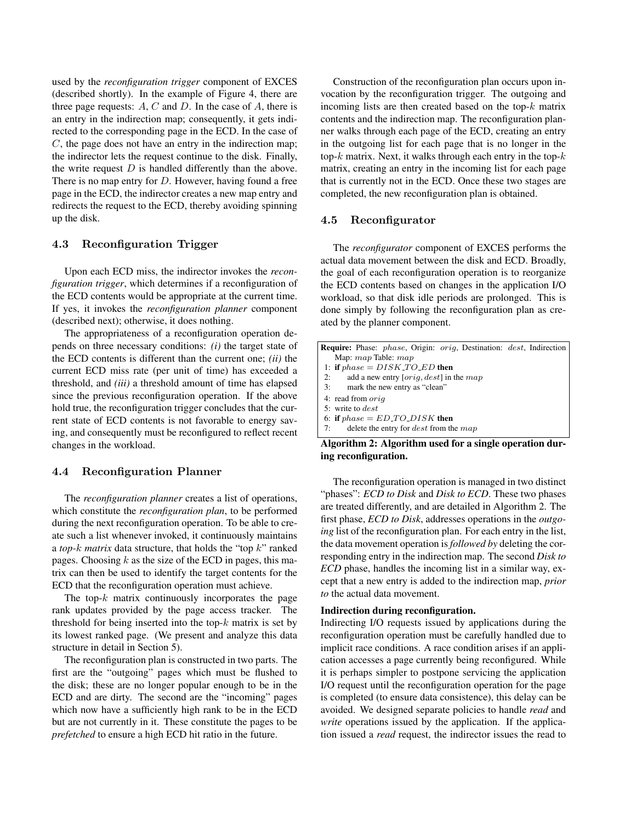used by the *reconfiguration trigger* component of EXCES (described shortly). In the example of Figure 4, there are three page requests:  $A, C$  and  $D$ . In the case of  $A$ , there is an entry in the indirection map; consequently, it gets indirected to the corresponding page in the ECD. In the case of  $C$ , the page does not have an entry in the indirection map; the indirector lets the request continue to the disk. Finally, the write request  $D$  is handled differently than the above. There is no map entry for D. However, having found a free page in the ECD, the indirector creates a new map entry and redirects the request to the ECD, thereby avoiding spinning up the disk.

# 4.3 Reconfiguration Trigger

Upon each ECD miss, the indirector invokes the *reconfiguration trigger*, which determines if a reconfiguration of the ECD contents would be appropriate at the current time. If yes, it invokes the *reconfiguration planner* component (described next); otherwise, it does nothing.

The appropriateness of a reconfiguration operation depends on three necessary conditions: *(i)* the target state of the ECD contents is different than the current one; *(ii)* the current ECD miss rate (per unit of time) has exceeded a threshold, and *(iii)* a threshold amount of time has elapsed since the previous reconfiguration operation. If the above hold true, the reconfiguration trigger concludes that the current state of ECD contents is not favorable to energy saving, and consequently must be reconfigured to reflect recent changes in the workload.

#### 4.4 Reconfiguration Planner

The *reconfiguration planner* creates a list of operations, which constitute the *reconfiguration plan*, to be performed during the next reconfiguration operation. To be able to create such a list whenever invoked, it continuously maintains a *top-*k *matrix* data structure, that holds the "top k" ranked pages. Choosing  $k$  as the size of the ECD in pages, this matrix can then be used to identify the target contents for the ECD that the reconfiguration operation must achieve.

The top- $k$  matrix continuously incorporates the page rank updates provided by the page access tracker. The threshold for being inserted into the top- $k$  matrix is set by its lowest ranked page. (We present and analyze this data structure in detail in Section 5).

The reconfiguration plan is constructed in two parts. The first are the "outgoing" pages which must be flushed to the disk; these are no longer popular enough to be in the ECD and are dirty. The second are the "incoming" pages which now have a sufficiently high rank to be in the ECD but are not currently in it. These constitute the pages to be *prefetched* to ensure a high ECD hit ratio in the future.

Construction of the reconfiguration plan occurs upon invocation by the reconfiguration trigger. The outgoing and incoming lists are then created based on the top- $k$  matrix contents and the indirection map. The reconfiguration planner walks through each page of the ECD, creating an entry in the outgoing list for each page that is no longer in the top- $k$  matrix. Next, it walks through each entry in the top- $k$ matrix, creating an entry in the incoming list for each page that is currently not in the ECD. Once these two stages are completed, the new reconfiguration plan is obtained.

#### 4.5 Reconfigurator

The *reconfigurator* component of EXCES performs the actual data movement between the disk and ECD. Broadly, the goal of each reconfiguration operation is to reorganize the ECD contents based on changes in the application I/O workload, so that disk idle periods are prolonged. This is done simply by following the reconfiguration plan as created by the planner component.

|    | <b>Require:</b> Phase: <i>phase</i> , Origin: <i>orig</i> , Destination: <i>dest</i> , Indirection |
|----|----------------------------------------------------------------------------------------------------|
|    | Map: $map$ Table: $map$                                                                            |
|    | 1: if $phase = DISK\_TO\_ED$ then                                                                  |
| 2: | add a new entry [ $orig, dest$ ] in the map                                                        |
| 3: | mark the new entry as "clean"                                                                      |
|    | 4: read from $\sigma$ <i>riq</i>                                                                   |
|    | 5: write to $dest$                                                                                 |
|    | 6: if $phase = ED\_TO\_DISK$ then                                                                  |
| 7: | delete the entry for <i>dest</i> from the <i>map</i>                                               |
|    | Algorithm 2: Algorithm used for a single operation dur-                                            |

**ing reconfiguration.**

The reconfiguration operation is managed in two distinct "phases": *ECD to Disk* and *Disk to ECD*. These two phases are treated differently, and are detailed in Algorithm 2. The first phase, *ECD to Disk*, addresses operations in the *outgoing* list of the reconfiguration plan. For each entry in the list, the data movement operation is *followed by* deleting the corresponding entry in the indirection map. The second *Disk to ECD* phase, handles the incoming list in a similar way, except that a new entry is added to the indirection map, *prior to* the actual data movement.

#### **Indirection during reconfiguration.**

Indirecting I/O requests issued by applications during the reconfiguration operation must be carefully handled due to implicit race conditions. A race condition arises if an application accesses a page currently being reconfigured. While it is perhaps simpler to postpone servicing the application I/O request until the reconfiguration operation for the page is completed (to ensure data consistence), this delay can be avoided. We designed separate policies to handle *read* and *write* operations issued by the application. If the application issued a *read* request, the indirector issues the read to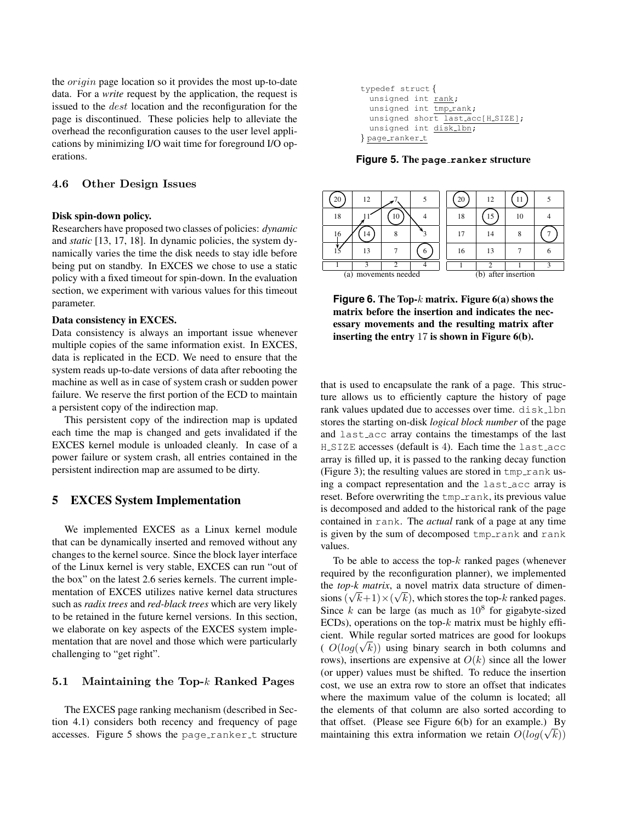the *origin* page location so it provides the most up-to-date data. For a *write* request by the application, the request is issued to the dest location and the reconfiguration for the page is discontinued. These policies help to alleviate the overhead the reconfiguration causes to the user level applications by minimizing I/O wait time for foreground I/O operations.

#### 4.6 Other Design Issues

#### **Disk spin-down policy.**

Researchers have proposed two classes of policies: *dynamic* and *static* [13, 17, 18]. In dynamic policies, the system dynamically varies the time the disk needs to stay idle before being put on standby. In EXCES we chose to use a static policy with a fixed timeout for spin-down. In the evaluation section, we experiment with various values for this timeout parameter.

#### **Data consistency in EXCES.**

Data consistency is always an important issue whenever multiple copies of the same information exist. In EXCES, data is replicated in the ECD. We need to ensure that the system reads up-to-date versions of data after rebooting the machine as well as in case of system crash or sudden power failure. We reserve the first portion of the ECD to maintain a persistent copy of the indirection map.

This persistent copy of the indirection map is updated each time the map is changed and gets invalidated if the EXCES kernel module is unloaded cleanly. In case of a power failure or system crash, all entries contained in the persistent indirection map are assumed to be dirty.

## **5 EXCES System Implementation**

We implemented EXCES as a Linux kernel module that can be dynamically inserted and removed without any changes to the kernel source. Since the block layer interface of the Linux kernel is very stable, EXCES can run "out of the box" on the latest 2.6 series kernels. The current implementation of EXCES utilizes native kernel data structures such as *radix trees* and *red-black trees* which are very likely to be retained in the future kernel versions. In this section, we elaborate on key aspects of the EXCES system implementation that are novel and those which were particularly challenging to "get right".

# 5.1 Maintaining the Top- $k$  Ranked Pages

The EXCES page ranking mechanism (described in Section 4.1) considers both recency and frequency of page accesses. Figure 5 shows the page\_ranker\_t structure

```
typedef struct {
 unsigned int rank;
 unsigned int tmp_rank;
 unsigned short last_acc[H_SIZE];
 unsigned int disk_lbn;
} page_ranker_t
```
**Figure 5. The page ranker structure**

| 20                      | 12 |    |   | 20                   | 12 |    |  |
|-------------------------|----|----|---|----------------------|----|----|--|
| 18                      |    | 10 |   | 18                   | 15 | 10 |  |
| 16                      | 14 |    |   | 17                   | 14 | 8  |  |
|                         | 13 |    | h | 16                   | 13 |    |  |
|                         |    |    |   |                      |    |    |  |
| movements needed<br>(a) |    |    |   | after insertion<br>b |    |    |  |

**Figure 6. The Top-**k **matrix. Figure 6(a) shows the matrix before the insertion and indicates the necessary movements and the resulting matrix after inserting the entry** 17 **is shown in Figure 6(b).**

that is used to encapsulate the rank of a page. This structure allows us to efficiently capture the history of page rank values updated due to accesses over time. disk\_lbn stores the starting on-disk *logical block number* of the page and last acc array contains the timestamps of the last H\_SIZE accesses (default is 4). Each time the last\_acc array is filled up, it is passed to the ranking decay function (Figure 3); the resulting values are stored in  $\text{tmp\_rank}$  using a compact representation and the last acc array is reset. Before overwriting the tmp\_rank, its previous value is decomposed and added to the historical rank of the page contained in rank. The *actual* rank of a page at any time is given by the sum of decomposed tmp rank and rank values.

To be able to access the top- $k$  ranked pages (whenever required by the reconfiguration planner), we implemented the *top-k matrix*, a novel matrix data structure of dimensions  $(\sqrt{k+1}) \times (\sqrt{k})$ , which stores the top-k ranked pages. Since  $k$  can be large (as much as  $10^8$  for gigabyte-sized ECDs), operations on the top- $k$  matrix must be highly efficient. While regular sorted matrices are good for lookups (  $O(log(\sqrt{k}))$  using binary search in both columns and rows), insertions are expensive at  $O(k)$  since all the lower (or upper) values must be shifted. To reduce the insertion cost, we use an extra row to store an offset that indicates where the maximum value of the column is located; all the elements of that column are also sorted according to that offset. (Please see Figure 6(b) for an example.) By maintaining this extra information we retain  $O(log(\sqrt{k}))$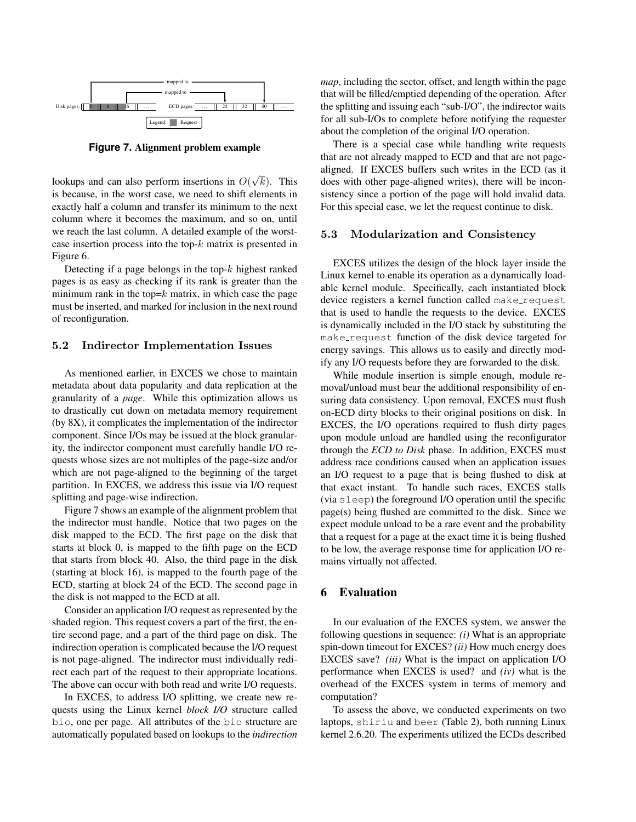

**Figure 7. Alignment problem example**

lookups and can also perform insertions in  $O(\sqrt{k})$ . This is because, in the worst case, we need to shift elements in exactly half a column and transfer its minimum to the next column where it becomes the maximum, and so on, until we reach the last column. A detailed example of the worstcase insertion process into the top-k matrix is presented in Figure 6.

Detecting if a page belongs in the top- $k$  highest ranked pages is as easy as checking if its rank is greater than the minimum rank in the top= $k$  matrix, in which case the page must be inserted, and marked for inclusion in the next round of reconfiguration.

#### 5.2 Indirector Implementation Issues

As mentioned earlier, in EXCES we chose to maintain metadata about data popularity and data replication at the granularity of a *page*. While this optimization allows us to drastically cut down on metadata memory requirement (by 8X), it complicates the implementation of the indirector component. Since I/Os may be issued at the block granularity, the indirector component must carefully handle I/O requests whose sizes are not multiples of the page-size and/or which are not page-aligned to the beginning of the target partition. In EXCES, we address this issue via I/O request splitting and page-wise indirection.

Figure 7 shows an example of the alignment problem that the indirector must handle. Notice that two pages on the disk mapped to the ECD. The first page on the disk that starts at block 0, is mapped to the fifth page on the ECD that starts from block 40. Also, the third page in the disk (starting at block 16), is mapped to the fourth page of the ECD, starting at block 24 of the ECD. The second page in the disk is not mapped to the ECD at all.

Consider an application I/O request as represented by the shaded region. This request covers a part of the first, the entire second page, and a part of the third page on disk. The indirection operation is complicated because the I/O request is not page-aligned. The indirector must individually redirect each part of the request to their appropriate locations. The above can occur with both read and write I/O requests.

In EXCES, to address I/O splitting, we create new requests using the Linux kernel *block I/O* structure called bio, one per page. All attributes of the bio structure are automatically populated based on lookups to the *indirection* *map*, including the sector, offset, and length within the page that will be filled/emptied depending of the operation. After the splitting and issuing each "sub-I/O", the indirector waits for all sub-I/Os to complete before notifying the requester about the completion of the original I/O operation.

There is a special case while handling write requests that are not already mapped to ECD and that are not pagealigned. If EXCES buffers such writes in the ECD (as it does with other page-aligned writes), there will be inconsistency since a portion of the page will hold invalid data. For this special case, we let the request continue to disk.

#### 5.3 Modularization and Consistency

EXCES utilizes the design of the block layer inside the Linux kernel to enable its operation as a dynamically loadable kernel module. Specifically, each instantiated block device registers a kernel function called make request that is used to handle the requests to the device. EXCES is dynamically included in the I/O stack by substituting the make request function of the disk device targeted for energy savings. This allows us to easily and directly modify any I/O requests before they are forwarded to the disk.

While module insertion is simple enough, module removal/unload must bear the additional responsibility of ensuring data consistency. Upon removal, EXCES must flush on-ECD dirty blocks to their original positions on disk. In EXCES, the I/O operations required to flush dirty pages upon module unload are handled using the reconfigurator through the *ECD to Disk* phase. In addition, EXCES must address race conditions caused when an application issues an I/O request to a page that is being flushed to disk at that exact instant. To handle such races, EXCES stalls (via sleep) the foreground I/O operation until the specific page(s) being flushed are committed to the disk. Since we expect module unload to be a rare event and the probability that a request for a page at the exact time it is being flushed to be low, the average response time for application I/O remains virtually not affected.

# **6 Evaluation**

In our evaluation of the EXCES system, we answer the following questions in sequence: *(i)* What is an appropriate spin-down timeout for EXCES? *(ii)* How much energy does EXCES save? *(iii)* What is the impact on application I/O performance when EXCES is used? and *(iv)* what is the overhead of the EXCES system in terms of memory and computation?

To assess the above, we conducted experiments on two laptops, shiriu and beer (Table 2), both running Linux kernel 2.6.20. The experiments utilized the ECDs described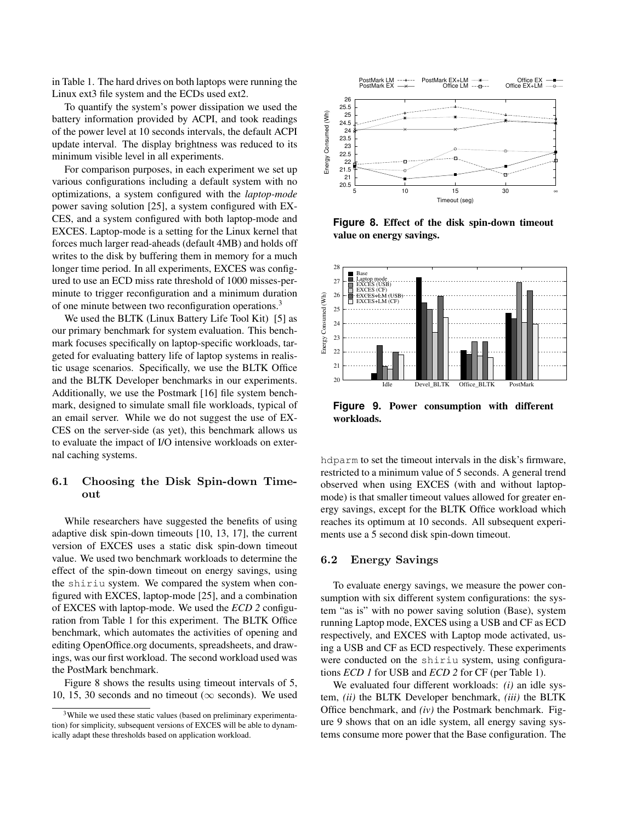in Table 1. The hard drives on both laptops were running the Linux ext3 file system and the ECDs used ext2.

To quantify the system's power dissipation we used the battery information provided by ACPI, and took readings of the power level at 10 seconds intervals, the default ACPI update interval. The display brightness was reduced to its minimum visible level in all experiments.

For comparison purposes, in each experiment we set up various configurations including a default system with no optimizations, a system configured with the *laptop-mode* power saving solution [25], a system configured with EX-CES, and a system configured with both laptop-mode and EXCES. Laptop-mode is a setting for the Linux kernel that forces much larger read-aheads (default 4MB) and holds off writes to the disk by buffering them in memory for a much longer time period. In all experiments, EXCES was configured to use an ECD miss rate threshold of 1000 misses-perminute to trigger reconfiguration and a minimum duration of one minute between two reconfiguration operations.<sup>3</sup>

We used the BLTK (Linux Battery Life Tool Kit) [5] as our primary benchmark for system evaluation. This benchmark focuses specifically on laptop-specific workloads, targeted for evaluating battery life of laptop systems in realistic usage scenarios. Specifically, we use the BLTK Office and the BLTK Developer benchmarks in our experiments. Additionally, we use the Postmark [16] file system benchmark, designed to simulate small file workloads, typical of an email server. While we do not suggest the use of EX-CES on the server-side (as yet), this benchmark allows us to evaluate the impact of I/O intensive workloads on external caching systems.

# 6.1 Choosing the Disk Spin-down Timeout

While researchers have suggested the benefits of using adaptive disk spin-down timeouts [10, 13, 17], the current version of EXCES uses a static disk spin-down timeout value. We used two benchmark workloads to determine the effect of the spin-down timeout on energy savings, using the shiriu system. We compared the system when configured with EXCES, laptop-mode [25], and a combination of EXCES with laptop-mode. We used the *ECD 2* configuration from Table 1 for this experiment. The BLTK Office benchmark, which automates the activities of opening and editing OpenOffice.org documents, spreadsheets, and drawings, was our first workload. The second workload used was the PostMark benchmark.

Figure 8 shows the results using timeout intervals of 5, 10, 15, 30 seconds and no timeout ( $\infty$  seconds). We used



**Figure 8. Effect of the disk spin-down timeout value on energy savings.**



**Figure 9. Power consumption with different workloads.**

hdparm to set the timeout intervals in the disk's firmware, restricted to a minimum value of 5 seconds. A general trend observed when using EXCES (with and without laptopmode) is that smaller timeout values allowed for greater energy savings, except for the BLTK Office workload which reaches its optimum at 10 seconds. All subsequent experiments use a 5 second disk spin-down timeout.

### 6.2 Energy Savings

To evaluate energy savings, we measure the power consumption with six different system configurations: the system "as is" with no power saving solution (Base), system running Laptop mode, EXCES using a USB and CF as ECD respectively, and EXCES with Laptop mode activated, using a USB and CF as ECD respectively. These experiments were conducted on the shiriu system, using configurations *ECD 1* for USB and *ECD 2* for CF (per Table 1).

We evaluated four different workloads: *(i)* an idle system, *(ii)* the BLTK Developer benchmark, *(iii)* the BLTK Office benchmark, and *(iv)* the Postmark benchmark. Figure 9 shows that on an idle system, all energy saving systems consume more power that the Base configuration. The

<sup>&</sup>lt;sup>3</sup>While we used these static values (based on preliminary experimentation) for simplicity, subsequent versions of EXCES will be able to dynamically adapt these thresholds based on application workload.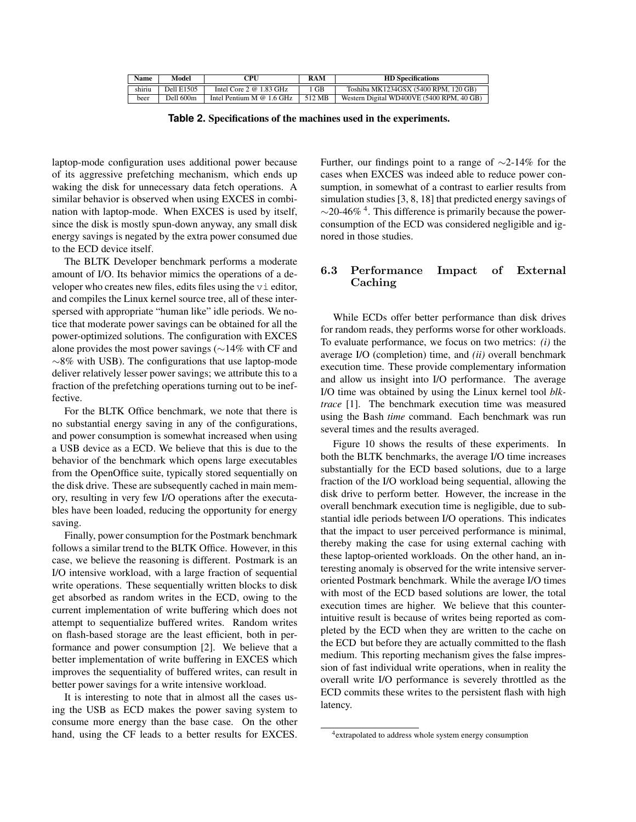| Name   | Model      | PU                                 | <b>RAM</b> | <b>HD</b> Specifications                  |
|--------|------------|------------------------------------|------------|-------------------------------------------|
| shiriu | Dell E1505 | Intel Core $2 \& 1.83 \text{ GHz}$ | GB         | Toshiba MK1234GSX (5400 RPM, 120 GB)      |
| beer   | Dell 600m  | Intel Pentium M $@$ 1.6 GHz        | 512 MB     | Western Digital WD400VE (5400 RPM, 40 GB) |

**Table 2. Specifications of the machines used in the experiments.**

laptop-mode configuration uses additional power because of its aggressive prefetching mechanism, which ends up waking the disk for unnecessary data fetch operations. A similar behavior is observed when using EXCES in combination with laptop-mode. When EXCES is used by itself, since the disk is mostly spun-down anyway, any small disk energy savings is negated by the extra power consumed due to the ECD device itself.

The BLTK Developer benchmark performs a moderate amount of I/O. Its behavior mimics the operations of a developer who creates new files, edits files using the vi editor, and compiles the Linux kernel source tree, all of these interspersed with appropriate "human like" idle periods. We notice that moderate power savings can be obtained for all the power-optimized solutions. The configuration with EXCES alone provides the most power savings (∼14% with CF and ∼8% with USB). The configurations that use laptop-mode deliver relatively lesser power savings; we attribute this to a fraction of the prefetching operations turning out to be ineffective.

For the BLTK Office benchmark, we note that there is no substantial energy saving in any of the configurations, and power consumption is somewhat increased when using a USB device as a ECD. We believe that this is due to the behavior of the benchmark which opens large executables from the OpenOffice suite, typically stored sequentially on the disk drive. These are subsequently cached in main memory, resulting in very few I/O operations after the executables have been loaded, reducing the opportunity for energy saving.

Finally, power consumption for the Postmark benchmark follows a similar trend to the BLTK Office. However, in this case, we believe the reasoning is different. Postmark is an I/O intensive workload, with a large fraction of sequential write operations. These sequentially written blocks to disk get absorbed as random writes in the ECD, owing to the current implementation of write buffering which does not attempt to sequentialize buffered writes. Random writes on flash-based storage are the least efficient, both in performance and power consumption [2]. We believe that a better implementation of write buffering in EXCES which improves the sequentiality of buffered writes, can result in better power savings for a write intensive workload.

It is interesting to note that in almost all the cases using the USB as ECD makes the power saving system to consume more energy than the base case. On the other hand, using the CF leads to a better results for EXCES. Further, our findings point to a range of ∼2-14% for the cases when EXCES was indeed able to reduce power consumption, in somewhat of a contrast to earlier results from simulation studies [3, 8, 18] that predicted energy savings of  $\sim$ 20-46% <sup>4</sup>. This difference is primarily because the powerconsumption of the ECD was considered negligible and ignored in those studies.

# 6.3 Performance Impact of External Caching

While ECDs offer better performance than disk drives for random reads, they performs worse for other workloads. To evaluate performance, we focus on two metrics: *(i)* the average I/O (completion) time, and *(ii)* overall benchmark execution time. These provide complementary information and allow us insight into I/O performance. The average I/O time was obtained by using the Linux kernel tool *blktrace* [1]. The benchmark execution time was measured using the Bash *time* command. Each benchmark was run several times and the results averaged.

Figure 10 shows the results of these experiments. In both the BLTK benchmarks, the average I/O time increases substantially for the ECD based solutions, due to a large fraction of the I/O workload being sequential, allowing the disk drive to perform better. However, the increase in the overall benchmark execution time is negligible, due to substantial idle periods between I/O operations. This indicates that the impact to user perceived performance is minimal, thereby making the case for using external caching with these laptop-oriented workloads. On the other hand, an interesting anomaly is observed for the write intensive serveroriented Postmark benchmark. While the average I/O times with most of the ECD based solutions are lower, the total execution times are higher. We believe that this counterintuitive result is because of writes being reported as completed by the ECD when they are written to the cache on the ECD but before they are actually committed to the flash medium. This reporting mechanism gives the false impression of fast individual write operations, when in reality the overall write I/O performance is severely throttled as the ECD commits these writes to the persistent flash with high latency.

<sup>&</sup>lt;sup>4</sup> extrapolated to address whole system energy consumption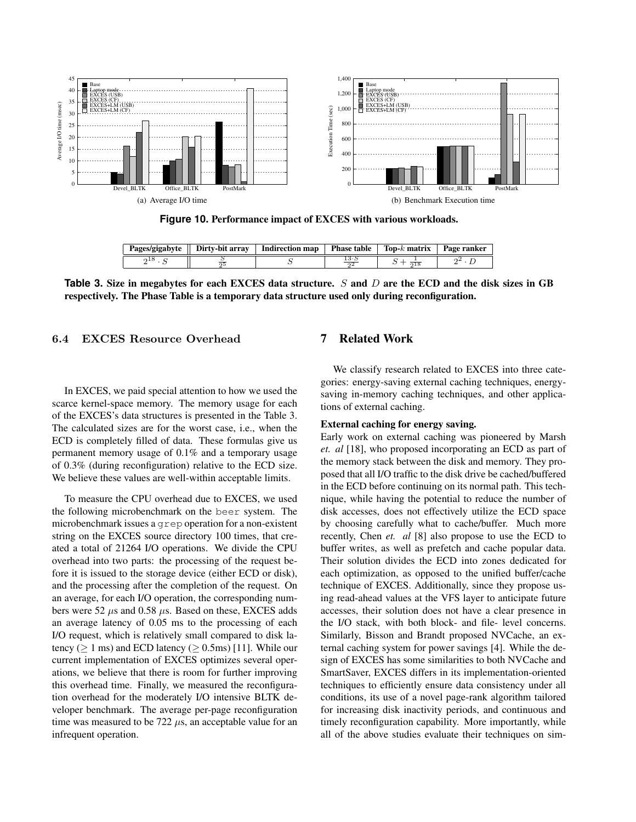

**Figure 10. Performance impact of EXCES with various workloads.**

| Pages/gigabyte | Dirty-bit array | <b>Indirection map</b> | <b>Phase table</b> | Top- $k$ matrix | Page ranker |
|----------------|-----------------|------------------------|--------------------|-----------------|-------------|
|                |                 |                        | 13. C              |                 |             |

**Table 3. Size in megabytes for each EXCES data structure.** S **and** D **are the ECD and the disk sizes in GB respectively. The Phase Table is a temporary data structure used only during reconfiguration.**

# 6.4 EXCES Resource Overhead

In EXCES, we paid special attention to how we used the scarce kernel-space memory. The memory usage for each of the EXCES's data structures is presented in the Table 3. The calculated sizes are for the worst case, i.e., when the ECD is completely filled of data. These formulas give us permanent memory usage of 0.1% and a temporary usage of 0.3% (during reconfiguration) relative to the ECD size. We believe these values are well-within acceptable limits.

To measure the CPU overhead due to EXCES, we used the following microbenchmark on the beer system. The microbenchmark issues a grep operation for a non-existent string on the EXCES source directory 100 times, that created a total of 21264 I/O operations. We divide the CPU overhead into two parts: the processing of the request before it is issued to the storage device (either ECD or disk), and the processing after the completion of the request. On an average, for each I/O operation, the corresponding numbers were 52  $\mu$ s and 0.58  $\mu$ s. Based on these, EXCES adds an average latency of 0.05 ms to the processing of each I/O request, which is relatively small compared to disk latency ( $\geq 1$  ms) and ECD latency ( $\geq 0.5$ ms) [11]. While our current implementation of EXCES optimizes several operations, we believe that there is room for further improving this overhead time. Finally, we measured the reconfiguration overhead for the moderately I/O intensive BLTK developer benchmark. The average per-page reconfiguration time was measured to be  $722 \mu s$ , an acceptable value for an infrequent operation.

# **7 Related Work**

We classify research related to EXCES into three categories: energy-saving external caching techniques, energysaving in-memory caching techniques, and other applications of external caching.

#### **External caching for energy saving.**

Early work on external caching was pioneered by Marsh *et. al* [18], who proposed incorporating an ECD as part of the memory stack between the disk and memory. They proposed that all I/O traffic to the disk drive be cached/buffered in the ECD before continuing on its normal path. This technique, while having the potential to reduce the number of disk accesses, does not effectively utilize the ECD space by choosing carefully what to cache/buffer. Much more recently, Chen *et. al* [8] also propose to use the ECD to buffer writes, as well as prefetch and cache popular data. Their solution divides the ECD into zones dedicated for each optimization, as opposed to the unified buffer/cache technique of EXCES. Additionally, since they propose using read-ahead values at the VFS layer to anticipate future accesses, their solution does not have a clear presence in the I/O stack, with both block- and file- level concerns. Similarly, Bisson and Brandt proposed NVCache, an external caching system for power savings [4]. While the design of EXCES has some similarities to both NVCache and SmartSaver, EXCES differs in its implementation-oriented techniques to efficiently ensure data consistency under all conditions, its use of a novel page-rank algorithm tailored for increasing disk inactivity periods, and continuous and timely reconfiguration capability. More importantly, while all of the above studies evaluate their techniques on sim-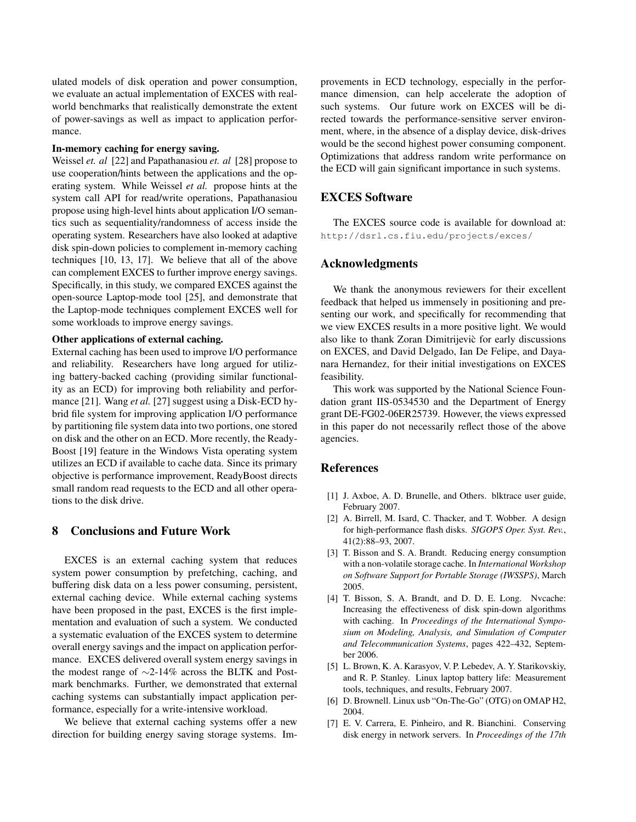ulated models of disk operation and power consumption, we evaluate an actual implementation of EXCES with realworld benchmarks that realistically demonstrate the extent of power-savings as well as impact to application performance.

#### **In-memory caching for energy saving.**

Weissel *et. al* [22] and Papathanasiou *et. al* [28] propose to use cooperation/hints between the applications and the operating system. While Weissel *et al.* propose hints at the system call API for read/write operations, Papathanasiou propose using high-level hints about application I/O semantics such as sequentiality/randomness of access inside the operating system. Researchers have also looked at adaptive disk spin-down policies to complement in-memory caching techniques [10, 13, 17]. We believe that all of the above can complement EXCES to further improve energy savings. Specifically, in this study, we compared EXCES against the open-source Laptop-mode tool [25], and demonstrate that the Laptop-mode techniques complement EXCES well for some workloads to improve energy savings.

#### **Other applications of external caching.**

External caching has been used to improve I/O performance and reliability. Researchers have long argued for utilizing battery-backed caching (providing similar functionality as an ECD) for improving both reliability and performance [21]. Wang *et al.* [27] suggest using a Disk-ECD hybrid file system for improving application I/O performance by partitioning file system data into two portions, one stored on disk and the other on an ECD. More recently, the Ready-Boost [19] feature in the Windows Vista operating system utilizes an ECD if available to cache data. Since its primary objective is performance improvement, ReadyBoost directs small random read requests to the ECD and all other operations to the disk drive.

# **8 Conclusions and Future Work**

EXCES is an external caching system that reduces system power consumption by prefetching, caching, and buffering disk data on a less power consuming, persistent, external caching device. While external caching systems have been proposed in the past, EXCES is the first implementation and evaluation of such a system. We conducted a systematic evaluation of the EXCES system to determine overall energy savings and the impact on application performance. EXCES delivered overall system energy savings in the modest range of ∼2-14% across the BLTK and Postmark benchmarks. Further, we demonstrated that external caching systems can substantially impact application performance, especially for a write-intensive workload.

We believe that external caching systems offer a new direction for building energy saving storage systems. Improvements in ECD technology, especially in the performance dimension, can help accelerate the adoption of such systems. Our future work on EXCES will be directed towards the performance-sensitive server environment, where, in the absence of a display device, disk-drives would be the second highest power consuming component. Optimizations that address random write performance on the ECD will gain significant importance in such systems.

#### **EXCES Software**

The EXCES source code is available for download at: http://dsrl.cs.fiu.edu/projects/exces/

# **Acknowledgments**

We thank the anonymous reviewers for their excellent feedback that helped us immensely in positioning and presenting our work, and specifically for recommending that we view EXCES results in a more positive light. We would also like to thank Zoran Dimitrijevic for early discussions on EXCES, and David Delgado, Ian De Felipe, and Dayanara Hernandez, for their initial investigations on EXCES feasibility.

This work was supported by the National Science Foundation grant IIS-0534530 and the Department of Energy grant DE-FG02-06ER25739. However, the views expressed in this paper do not necessarily reflect those of the above agencies.

# **References**

- [1] J. Axboe, A. D. Brunelle, and Others. blktrace user guide, February 2007.
- [2] A. Birrell, M. Isard, C. Thacker, and T. Wobber. A design for high-performance flash disks. *SIGOPS Oper. Syst. Rev.*, 41(2):88–93, 2007.
- [3] T. Bisson and S. A. Brandt. Reducing energy consumption with a non-volatile storage cache. In *International Workshop on Software Support for Portable Storage (IWSSPS)*, March 2005.
- [4] T. Bisson, S. A. Brandt, and D. D. E. Long. Nvcache: Increasing the effectiveness of disk spin-down algorithms with caching. In *Proceedings of the International Symposium on Modeling, Analysis, and Simulation of Computer and Telecommunication Systems*, pages 422–432, September 2006.
- [5] L. Brown, K. A. Karasyov, V. P. Lebedev, A. Y. Starikovskiy, and R. P. Stanley. Linux laptop battery life: Measurement tools, techniques, and results, February 2007.
- [6] D. Brownell. Linux usb "On-The-Go" (OTG) on OMAP H2, 2004.
- [7] E. V. Carrera, E. Pinheiro, and R. Bianchini. Conserving disk energy in network servers. In *Proceedings of the 17th*